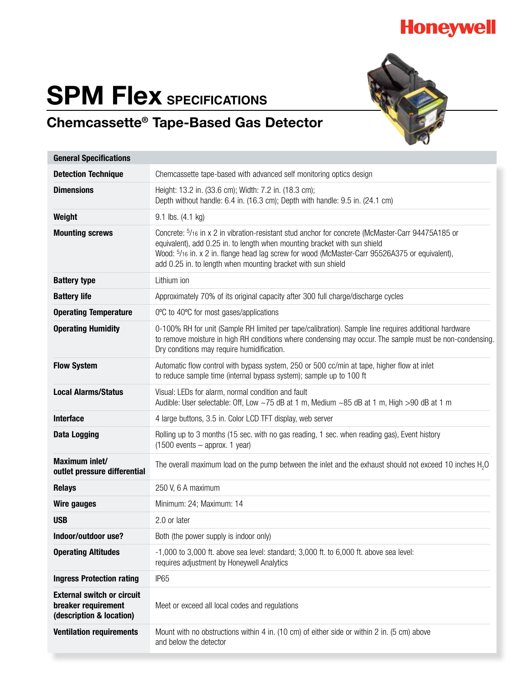

# **SPM Flex SPECIFICATIONS**



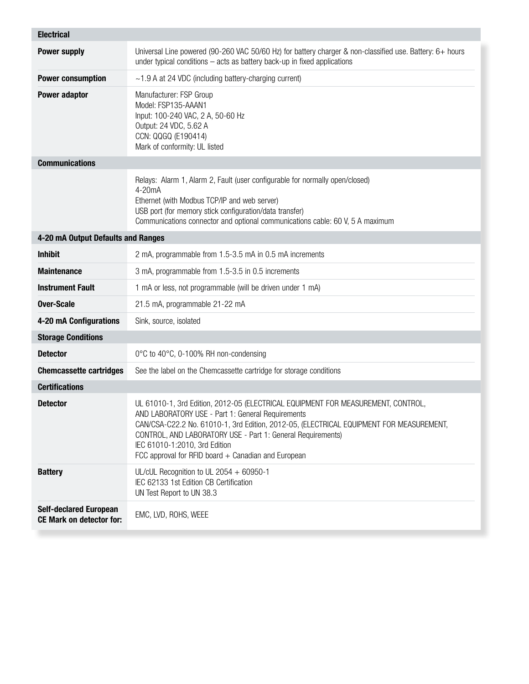| <b>Electrical</b>                                                |                                                                                                                                                                                                                                                                                                                                                                                         |  |  |  |  |  |  |  |
|------------------------------------------------------------------|-----------------------------------------------------------------------------------------------------------------------------------------------------------------------------------------------------------------------------------------------------------------------------------------------------------------------------------------------------------------------------------------|--|--|--|--|--|--|--|
| <b>Power supply</b>                                              | Universal Line powered (90-260 VAC 50/60 Hz) for battery charger & non-classified use. Battery: 6+ hours<br>under typical conditions $-$ acts as battery back-up in fixed applications                                                                                                                                                                                                  |  |  |  |  |  |  |  |
| <b>Power consumption</b>                                         | $\sim$ 1.9 A at 24 VDC (including battery-charging current)                                                                                                                                                                                                                                                                                                                             |  |  |  |  |  |  |  |
| <b>Power adaptor</b>                                             | Manufacturer: FSP Group<br>Model: FSP135-AAAN1<br>Input: 100-240 VAC, 2 A, 50-60 Hz<br>Output: 24 VDC, 5.62 A<br>CCN: QQGQ (E190414)<br>Mark of conformity: UL listed                                                                                                                                                                                                                   |  |  |  |  |  |  |  |
| <b>Communications</b>                                            |                                                                                                                                                                                                                                                                                                                                                                                         |  |  |  |  |  |  |  |
|                                                                  | Relays: Alarm 1, Alarm 2, Fault (user configurable for normally open/closed)<br>4-20mA<br>Ethernet (with Modbus TCP/IP and web server)<br>USB port (for memory stick configuration/data transfer)<br>Communications connector and optional communications cable: 60 V, 5 A maximum                                                                                                      |  |  |  |  |  |  |  |
| 4-20 mA Output Defaults and Ranges                               |                                                                                                                                                                                                                                                                                                                                                                                         |  |  |  |  |  |  |  |
| <b>Inhibit</b>                                                   | 2 mA, programmable from 1.5-3.5 mA in 0.5 mA increments                                                                                                                                                                                                                                                                                                                                 |  |  |  |  |  |  |  |
| <b>Maintenance</b>                                               | 3 mA, programmable from 1.5-3.5 in 0.5 increments                                                                                                                                                                                                                                                                                                                                       |  |  |  |  |  |  |  |
| <b>Instrument Fault</b>                                          | 1 mA or less, not programmable (will be driven under 1 mA)                                                                                                                                                                                                                                                                                                                              |  |  |  |  |  |  |  |
| <b>Over-Scale</b>                                                | 21.5 mA, programmable 21-22 mA                                                                                                                                                                                                                                                                                                                                                          |  |  |  |  |  |  |  |
| 4-20 mA Configurations                                           | Sink, source, isolated                                                                                                                                                                                                                                                                                                                                                                  |  |  |  |  |  |  |  |
| <b>Storage Conditions</b>                                        |                                                                                                                                                                                                                                                                                                                                                                                         |  |  |  |  |  |  |  |
| <b>Detector</b>                                                  | 0°C to 40°C, 0-100% RH non-condensing                                                                                                                                                                                                                                                                                                                                                   |  |  |  |  |  |  |  |
| <b>Chemcassette cartridges</b>                                   | See the label on the Chemcassette cartridge for storage conditions                                                                                                                                                                                                                                                                                                                      |  |  |  |  |  |  |  |
| <b>Certifications</b>                                            |                                                                                                                                                                                                                                                                                                                                                                                         |  |  |  |  |  |  |  |
| <b>Detector</b>                                                  | UL 61010-1, 3rd Edition, 2012-05 (ELECTRICAL EQUIPMENT FOR MEASUREMENT, CONTROL,<br>AND LABORATORY USE - Part 1: General Requirements<br>CAN/CSA-C22.2 No. 61010-1, 3rd Edition, 2012-05, (ELECTRICAL EQUIPMENT FOR MEASUREMENT,<br>CONTROL, AND LABORATORY USE - Part 1: General Requirements)<br>IEC 61010-1:2010, 3rd Edition<br>FCC approval for RFID board + Canadian and European |  |  |  |  |  |  |  |
| <b>Battery</b>                                                   | UL/cUL Recognition to UL 2054 + 60950-1<br>IEC 62133 1st Edition CB Certification<br>UN Test Report to UN 38.3                                                                                                                                                                                                                                                                          |  |  |  |  |  |  |  |
| <b>Self-declared European</b><br><b>CE Mark on detector for:</b> | EMC, LVD, ROHS, WEEE                                                                                                                                                                                                                                                                                                                                                                    |  |  |  |  |  |  |  |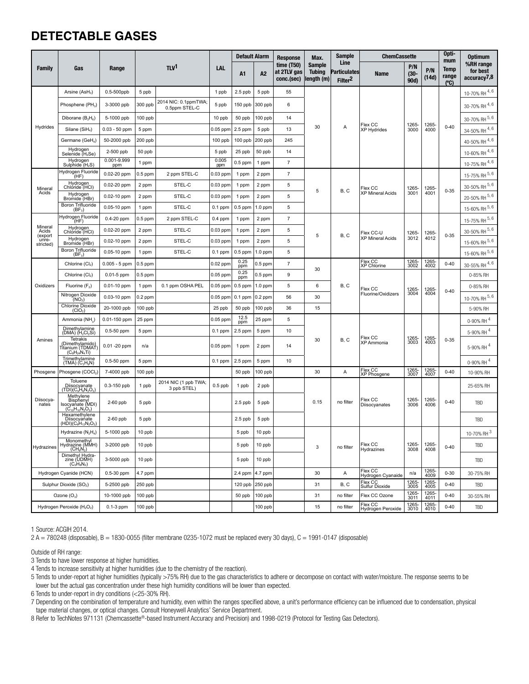### **DETECTABLE GASES**

| <b>Family</b>                                      |                                                                                                                                           | Range              |           |                                       |              | <b>Default Alarm</b> |                | <b>Response</b>                           | Max.                                         | <b>Sample</b>                                      | <b>ChemCassette</b>                  |                        |               | Opti-<br>mum                | <b>Optimum</b>                       |
|----------------------------------------------------|-------------------------------------------------------------------------------------------------------------------------------------------|--------------------|-----------|---------------------------------------|--------------|----------------------|----------------|-------------------------------------------|----------------------------------------------|----------------------------------------------------|--------------------------------------|------------------------|---------------|-----------------------------|--------------------------------------|
|                                                    | Gas                                                                                                                                       |                    |           | T <sup>1</sup>                        | <b>LAL</b>   | A1                   | A <sub>2</sub> | time $(T50)$<br>at 2TLV gas<br>conc.(sec) | <b>Sample</b><br><b>Tubing</b><br>length (m) | Line<br><b>Particulates</b><br>Filter <sup>2</sup> | <b>Name</b>                          | P/N<br>$(30 -$<br>90d) | P/N<br>(14d)  | <b>Temp</b><br>range<br>(C) | %RH range<br>for best<br>accuracy7,8 |
| Hydrides                                           | Arsine $(ASH3)$                                                                                                                           | 0.5-500ppb         | 5 ppb     |                                       | 1 ppb        | $2.5$ ppb            | 5 ppb          | 55                                        | 30                                           | Α                                                  | Flex CC<br><b>XP Hydrides</b>        | 1265-<br>3000          | 1265-<br>4000 | $0 - 40$                    | 10-70% RH 4, 6                       |
|                                                    | Phosphene (PH <sub>3</sub> )                                                                                                              | 3-3000 ppb         | 300 ppb   | 2014 NIC: 0.1ppmTWA;<br>0.5ppm STEL-C | 5 ppb        | 150 ppb              | 300 ppb        | 6                                         |                                              |                                                    |                                      |                        |               |                             | 30-70% RH 4, 6                       |
|                                                    | Diborane $(B_2H_6)$                                                                                                                       | 5-1000 ppb         | 100 ppb   |                                       | 10 ppb       | 50 ppb               | 100 ppb        | 14                                        |                                              |                                                    |                                      |                        |               |                             | 30-70% RH 5, 6                       |
|                                                    | Silane (SiH <sub>4</sub> )                                                                                                                | $0.03 - 50$ ppm    | 5 ppm     |                                       | 0.05 ppm     | 2.5 ppm              | 5 ppb          | 13                                        |                                              |                                                    |                                      |                        |               |                             | 34-50% RH 4, 6                       |
|                                                    | Germane (GeH <sub>4</sub> )                                                                                                               | 50-2000 ppb        | $200$ ppb |                                       | 100 ppb      | $100$ ppb            | 200 ppb        | 245                                       |                                              |                                                    |                                      |                        |               |                             | 40-50% RH 4, 6                       |
|                                                    | Hydrogen<br>Selenide (H <sub>2</sub> Se)                                                                                                  | 2-500 ppb          | 50 ppb    |                                       | 5 ppb        | 25 ppb               | 50 ppb         | 14                                        |                                              |                                                    |                                      |                        |               |                             | 10-60% RH 4, 6                       |
|                                                    | Hydrogen<br>Sulphide (H <sub>2</sub> S)                                                                                                   | 0.001-9.999<br>ppm | 1 ppm     |                                       | 0.005<br>ppm | $0.5$ ppm            | 1 ppm          | $\boldsymbol{7}$                          |                                              |                                                    |                                      |                        |               |                             | 10-75% RH 4, 6                       |
| Mineral                                            | Hydrogen Fluoride<br>(HF)                                                                                                                 | 0.02-20 ppm        | $0.5$ ppm | 2 ppm STEL-C                          | 0.03 ppm     | 1 ppm                | 2 ppm          | $\overline{7}$                            | 5                                            | B, C                                               | Flex CC<br><b>XP Mineral Acids</b>   | 1265-<br>3001          | 1265-<br>4001 | $0 - 35$                    | 15-75% RH 5, 6                       |
|                                                    | Hydrogen<br>Chloride (HCl)                                                                                                                | 0.02-20 ppm        | 2 ppm     | STEL-C                                | $0.03$ ppm   | 1 ppm                | 2 ppm          | 5                                         |                                              |                                                    |                                      |                        |               |                             | 30-50% RH 5, 6                       |
| Acids                                              | Hydrogen<br>Bromide (HBr)                                                                                                                 | 0.02-10 ppm        | 2 ppm     | STEL-C                                | 0.03 ppm     | 1 ppm                | 2 ppm          | 5                                         |                                              |                                                    |                                      |                        |               |                             | 20-50% RH 5, 6                       |
|                                                    | Boron Trifluoride<br>$(BF_3)$                                                                                                             | 0.05-10 ppm        | 1 ppm     | STEL-C                                | $0.1$ ppm    | $0.5$ ppm            | 1.0 ppm        | 5                                         |                                              |                                                    |                                      |                        |               |                             | 15-60% RH 5, 6                       |
|                                                    | Hydrogen Fluoride<br>(HF)                                                                                                                 | 0.4-20 ppm         | $0.5$ ppm | 2 ppm STEL-C                          | $0.4$ ppm    | 1 ppm                | 2 ppm          | $\overline{7}$                            | 5                                            | B, C                                               | Flex CC-U<br><b>XP Mineral Acids</b> | 1265-<br>3012          | 1265-<br>4012 | $0 - 35$                    | 15-75% RH 5, 6                       |
| Mineral<br>Acids                                   | Hydrogen<br>Chloride (HCI)                                                                                                                | 0.02-20 ppm        | 2 ppm     | STEL-C                                | 0.03 ppm     | 1 ppm                | 2 ppm          | 5                                         |                                              |                                                    |                                      |                        |               |                             | 30-50% RH 5, 6                       |
| (export<br>unre-<br>stricted)                      | Hydrogen<br>Bromide (HBr)                                                                                                                 | 0.02-10 ppm        | 2 ppm     | STEL-C                                | $0.03$ ppm   | 1 ppm                | 2 ppm          | 5                                         |                                              |                                                    |                                      |                        |               |                             | $15-60\%$ RH $^{5,6}$                |
|                                                    | Boron Trifluoride<br>$(BF_3)$                                                                                                             | 0.05-10 ppm        | 1 ppm     | STEL-C                                | $0.1$ ppm    | $0.5$ ppm            | $1.0$ ppm      | 5                                         |                                              |                                                    |                                      |                        |               |                             | 15-60% RH 5, 6                       |
|                                                    | Chlorine (Cl2)                                                                                                                            | $0.005 - 5$ ppm    | $0.5$ ppm |                                       | 0.02 ppm     | 0.25<br>ppm          | $0.5$ ppm      | $\overline{\mathfrak{c}}$                 | 30                                           |                                                    | Flex CC<br>XP Chlorine               | 1265-<br>3002          | 1265-<br>4002 | $0 - 40$                    | 30-55% RH 4, 6                       |
| Oxidizers                                          | Chlorine (Cl2)                                                                                                                            | $0.01 - 5$ ppm     | $0.5$ ppm |                                       | $0.05$ ppm   | 0.25<br>ppm          | $0.5$ ppm      | 9                                         |                                              |                                                    | Flex CC<br>Fluorine/Oxidizers        | 1265-<br>3004          | 1265-<br>4004 | $0 - 40$                    | 0-85% RH                             |
|                                                    | Fluorine $(F_2)$                                                                                                                          | $0.01 - 10$ ppm    | 1 ppm     | 0.1 ppm OSHA PEL                      | 0.05 ppm     | $0.5$ ppm            | 1.0 ppm        | 5                                         | 6                                            | B, C                                               |                                      |                        |               |                             | 0-85% RH                             |
|                                                    | Nitrogen Dioxide<br>(NO <sub>2</sub> )                                                                                                    | 0.03-10 ppm        | $0.2$ ppm |                                       | 0.05 ppm     | $0.1$ ppm            | $0.2$ ppm      | 56                                        | 30                                           |                                                    |                                      |                        |               |                             | 10-70% RH 5, 6                       |
|                                                    | Chlorine Dioxide<br>(CIO <sub>2</sub> )                                                                                                   | 20-1000 ppb        | 100 ppb   |                                       | 25 ppb       | 50 ppb               | 100 ppb        | 36                                        | 15                                           |                                                    |                                      |                        |               |                             | 5-90% RH                             |
|                                                    | Ammonia (NH <sub>3</sub> )                                                                                                                | 0.01-150 ppm       | 25 ppm    |                                       | $0.05$ ppm   | 12.5<br>ppm          | 25 ppm         | 5                                         |                                              | B, C                                               | Flex CC<br>XP Ammonia                | 1265-<br>3003          | 1265-<br>4003 | $0 - 35$                    | 0-90% RH <sup>4</sup>                |
| Amines                                             | Dimethylamine<br>(DMA) (H <sub>2</sub> Cl <sub>2</sub> Si)                                                                                | $0.5 - 50$ ppm     | 5 ppm     |                                       | $0.1$ ppm    | 2.5 ppm              | 5 ppm          | 10                                        | 30                                           |                                                    |                                      |                        |               |                             | 5-90% RH <sup>4</sup>                |
|                                                    | Tetrakis<br>$\begin{array}{c} \text{(Dimethylamido)}\\ \text{Trianim (TDMAT)}\\ \text{(C}_8\text{H}_{24}\text{N}_4\text{Ti)} \end{array}$ | $0.01 - 20$ ppm    | n/a       |                                       | $0.05$ ppm   | 1 ppm                | 2 ppm          | 14                                        |                                              |                                                    |                                      |                        |               |                             | 5-90% RH <sup>4</sup>                |
|                                                    | Trimethylamine<br>(TMA) (C <sub>3</sub> H <sub>9</sub> N)                                                                                 | $0.5-50$ ppm       | 5 ppm     |                                       | $0.1$ ppm    | 2.5 ppm              | 5 ppm          | 10                                        |                                              |                                                    |                                      |                        |               |                             | 0-90% RH 4                           |
| Phosgene                                           | Phosgene (COCl2)                                                                                                                          | 7-4000 ppb         | 100 ppb   |                                       |              | 50 ppb               | 100 ppb        |                                           | 30                                           | Α                                                  | Flex CC<br>XP Phosgene               | 1265-<br>3007          | 1265-<br>4007 | $0 - 40$                    | 10-90% RH                            |
| Diisocya-<br>nates                                 | Toluene<br>Diisocyanate<br>(TDI)(C <sub>9</sub> H <sub>6</sub> N <sub>2</sub> O <sub>2</sub> )<br>Methylene                               | 0.3-150 ppb        | 1 ppb     | 2014 NIC (1 ppb TWA;<br>3 ppb STEL)   | $0.5$ ppb    | 1 ppb                | 2 ppb          |                                           | 0.15                                         | no filter                                          | Flex CC<br>Diisocyanates             | 1265-<br>3006          | 1265-<br>4006 | $0 - 40$                    | 25-65% RH                            |
|                                                    | Bisphenyl<br>Isocvanate (MDI)<br>$(C_{15}H_{10}N_2O_2)$                                                                                   | $2-60$ ppb         | 5 ppb     |                                       |              | $2.5$ ppb            | 5 ppb          |                                           |                                              |                                                    |                                      |                        |               |                             | <b>TBD</b>                           |
|                                                    | Hexamethylene<br>Diisocyanate<br>$(HDI)(C_8H_{12}N_2O_2)$                                                                                 | $2-60$ ppb         | 5 ppb     |                                       |              | $2.5$ ppb            | 5 ppb          |                                           |                                              |                                                    |                                      |                        |               |                             | TBD                                  |
| Hydrazines                                         | Hydrazine (N <sub>2</sub> H <sub>4</sub> )                                                                                                | 5-1000 ppb         | 10 ppb    |                                       |              | 5 ppb                | 10 ppb         |                                           | 3                                            | no filter                                          | Flex CC<br>Hydrazines                |                        | 1265-<br>4008 | $0 - 40$                    | $10-70%$ RH $^3$                     |
|                                                    | Monomethyl<br>Hydrazine (MMH)<br>$(CH_6N_2)$                                                                                              | 3-2000 ppb         | 10 ppb    |                                       |              | 5 ppb                | 10 ppb         |                                           |                                              |                                                    |                                      | 1265-<br>3008          |               |                             | TBD                                  |
|                                                    | $\frac{\text{Dimethyl} \text{Hydra-zine (UDMH)} }{(\text{C}_2\text{H}_8\text{N}_2)}$                                                      | 3-5000 ppb         | 10 ppb    |                                       |              | 5 ppb                | 10 ppb         |                                           |                                              |                                                    |                                      |                        |               |                             | TBD                                  |
| Hydrogen Cyanide (HCN)                             |                                                                                                                                           | 0.5-30 ppm         | 4.7 ppm   |                                       |              | 2.4 ppm              | 4.7 ppm        |                                           | 30                                           | Α                                                  | Flex CC<br>Hydrogen Cyanaide         | n/a                    | 1265-<br>4009 | $0 - 30$                    | 30-75% RH                            |
|                                                    | Sulphur Dioxide (SO <sub>2</sub> )                                                                                                        | 5-2500 ppb         | 250 ppb   |                                       |              | 120 ppb              | 250 ppb        |                                           | 31                                           | B, C                                               | Flex CC<br>Sulfur Dioxide            | 1265-<br>3005          | 1265-<br>4005 | $0 - 40$                    | TBD                                  |
|                                                    | Ozone $(O_3)$                                                                                                                             | 10-1000 ppb        | 100 ppb   |                                       |              | 50 ppb               | $100$ ppb      |                                           | 31                                           | no filter                                          | Flex CC Ozone                        | 1265-<br>3011          | 1265-<br>4011 | $0 - 40$                    | 30-55% RH                            |
| Hydrogen Peroxide (H <sub>2</sub> O <sub>2</sub> ) |                                                                                                                                           | $0.1-3$ ppm        | $100$ ppb |                                       |              |                      | 100 ppb        |                                           | 15                                           | no filter                                          | Flex CC<br>Hydrogen Peroxide         | 1265-<br>3010          | 1265-<br>4010 | $0 - 40$                    | <b>TBD</b>                           |

1 Source: ACGIH 2014.

2 A = 780248 (disposable), B = 1830-0055 (filter membrane 0235-1072 must be replaced every 30 days), C = 1991-0147 (disposable)

Outside of RH range:

3 Tends to have lower response at higher humidities.

4 Tends to increase sensitivity at higher humidities (due to the chemistry of the reaction).

5 Tends to under-report at higher humidities (typically >75% RH) due to the gas characteristics to adhere or decompose on contact with water/moisture. The response seems to be lower but the actual gas concentration under these high humidity conditions will be lower than expected.

6 Tends to under-report in dry conditions (<25-30% RH).

7 Depending on the combination of temperature and humidity, even within the ranges specified above, a unit's performance efficiency can be influenced due to condensation, physical tape material changes, or optical changes. Consult Honeywell Analytics' Service Department.

8 Refer to TechNotes 971131 (Chemcassette®-based Instrument Accuracy and Precision) and 1998-0219 (Protocol for Testing Gas Detectors).